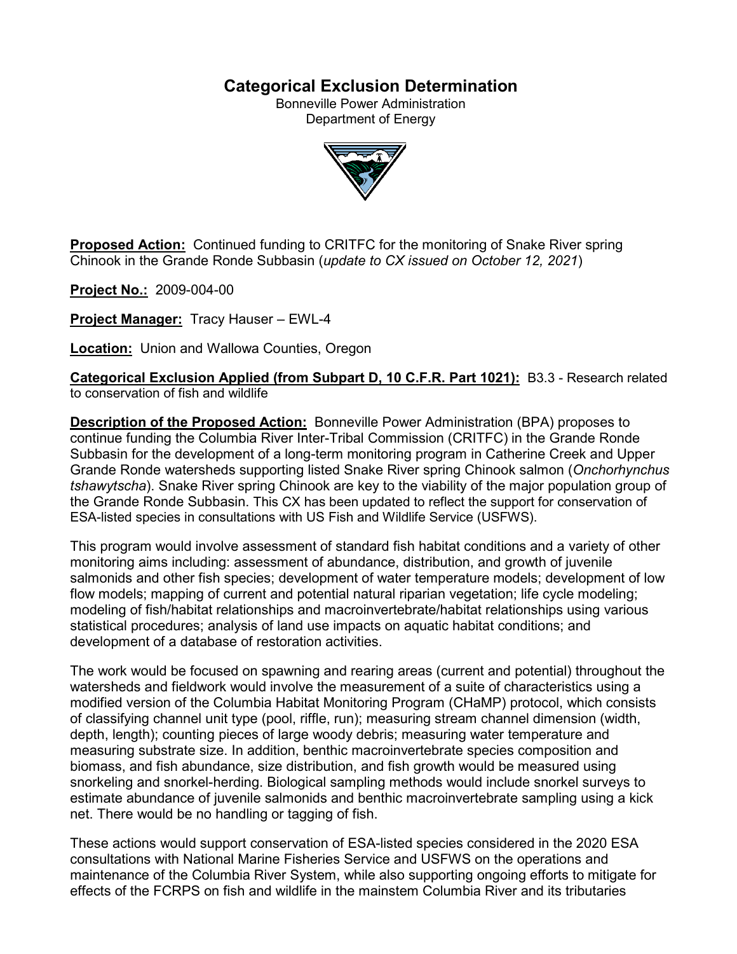# **Categorical Exclusion Determination**

Bonneville Power Administration Department of Energy



**Proposed Action:** Continued funding to CRITFC for the monitoring of Snake River spring Chinook in the Grande Ronde Subbasin (*update to CX issued on October 12, 2021*)

**Project No.:** 2009-004-00

**Project Manager:** Tracy Hauser – EWL-4

**Location:** Union and Wallowa Counties, Oregon

**Categorical Exclusion Applied (from Subpart D, 10 C.F.R. Part 1021):** B3.3 - Research related to conservation of fish and wildlife

**Description of the Proposed Action:** Bonneville Power Administration (BPA) proposes to continue funding the Columbia River Inter-Tribal Commission (CRITFC) in the Grande Ronde Subbasin for the development of a long-term monitoring program in Catherine Creek and Upper Grande Ronde watersheds supporting listed Snake River spring Chinook salmon (*Onchorhynchus tshawytscha*). Snake River spring Chinook are key to the viability of the major population group of the Grande Ronde Subbasin. This CX has been updated to reflect the support for conservation of ESA-listed species in consultations with US Fish and Wildlife Service (USFWS).

This program would involve assessment of standard fish habitat conditions and a variety of other monitoring aims including: assessment of abundance, distribution, and growth of juvenile salmonids and other fish species; development of water temperature models; development of low flow models; mapping of current and potential natural riparian vegetation; life cycle modeling; modeling of fish/habitat relationships and macroinvertebrate/habitat relationships using various statistical procedures; analysis of land use impacts on aquatic habitat conditions; and development of a database of restoration activities.

The work would be focused on spawning and rearing areas (current and potential) throughout the watersheds and fieldwork would involve the measurement of a suite of characteristics using a modified version of the Columbia Habitat Monitoring Program (CHaMP) protocol, which consists of classifying channel unit type (pool, riffle, run); measuring stream channel dimension (width, depth, length); counting pieces of large woody debris; measuring water temperature and measuring substrate size. In addition, benthic macroinvertebrate species composition and biomass, and fish abundance, size distribution, and fish growth would be measured using snorkeling and snorkel-herding. Biological sampling methods would include snorkel surveys to estimate abundance of juvenile salmonids and benthic macroinvertebrate sampling using a kick net. There would be no handling or tagging of fish.

These actions would support conservation of ESA-listed species considered in the 2020 ESA consultations with National Marine Fisheries Service and USFWS on the operations and maintenance of the Columbia River System, while also supporting ongoing efforts to mitigate for effects of the FCRPS on fish and wildlife in the mainstem Columbia River and its tributaries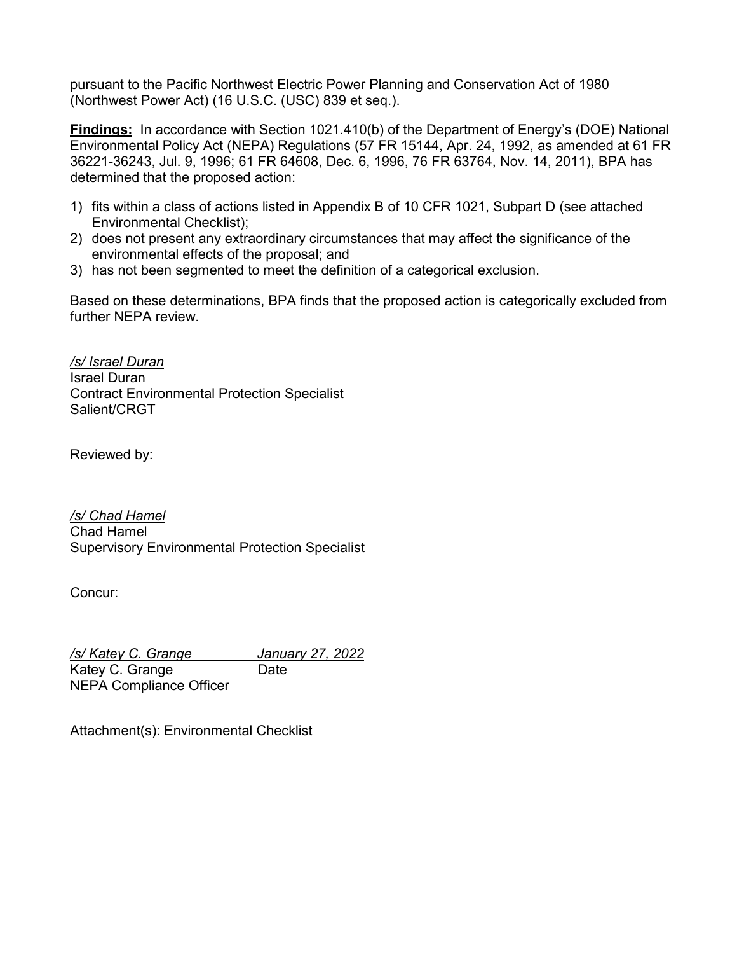pursuant to the Pacific Northwest Electric Power Planning and Conservation Act of 1980 (Northwest Power Act) (16 U.S.C. (USC) 839 et seq.).

**Findings:** In accordance with Section 1021.410(b) of the Department of Energy's (DOE) National Environmental Policy Act (NEPA) Regulations (57 FR 15144, Apr. 24, 1992, as amended at 61 FR 36221-36243, Jul. 9, 1996; 61 FR 64608, Dec. 6, 1996, 76 FR 63764, Nov. 14, 2011), BPA has determined that the proposed action:

- 1) fits within a class of actions listed in Appendix B of 10 CFR 1021, Subpart D (see attached Environmental Checklist);
- 2) does not present any extraordinary circumstances that may affect the significance of the environmental effects of the proposal; and
- 3) has not been segmented to meet the definition of a categorical exclusion.

Based on these determinations, BPA finds that the proposed action is categorically excluded from further NEPA review.

*/s/ Israel Duran* Israel Duran Contract Environmental Protection Specialist Salient/CRGT

Reviewed by:

*/s/ Chad Hamel* Chad Hamel Supervisory Environmental Protection Specialist

Concur:

*/s/ Katey C. Grange January 27, 2022* Katey C. Grange Date

NEPA Compliance Officer

Attachment(s): Environmental Checklist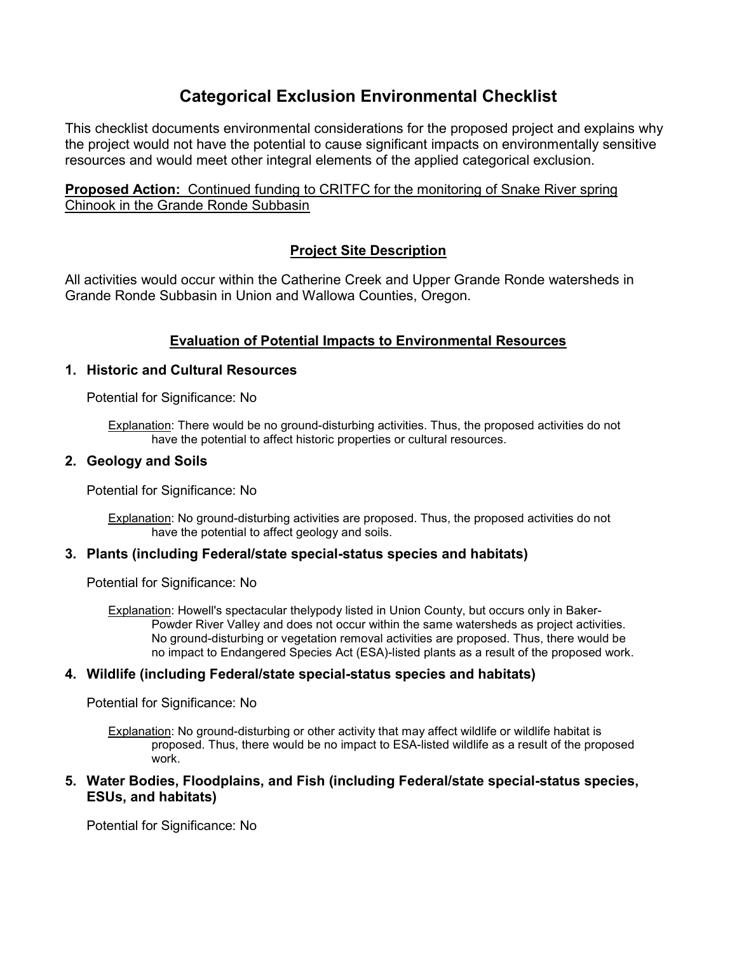# **Categorical Exclusion Environmental Checklist**

This checklist documents environmental considerations for the proposed project and explains why the project would not have the potential to cause significant impacts on environmentally sensitive resources and would meet other integral elements of the applied categorical exclusion.

**Proposed Action:** Continued funding to CRITFC for the monitoring of Snake River spring Chinook in the Grande Ronde Subbasin

# **Project Site Description**

All activities would occur within the Catherine Creek and Upper Grande Ronde watersheds in Grande Ronde Subbasin in Union and Wallowa Counties, Oregon.

# **Evaluation of Potential Impacts to Environmental Resources**

### **1. Historic and Cultural Resources**

Potential for Significance: No

Explanation: There would be no ground-disturbing activities. Thus, the proposed activities do not have the potential to affect historic properties or cultural resources.

### **2. Geology and Soils**

Potential for Significance: No

Explanation: No ground-disturbing activities are proposed. Thus, the proposed activities do not have the potential to affect geology and soils.

### **3. Plants (including Federal/state special-status species and habitats)**

Potential for Significance: No

Explanation: Howell's spectacular thelypody listed in Union County, but occurs only in Baker-Powder River Valley and does not occur within the same watersheds as project activities. No ground-disturbing or vegetation removal activities are proposed. Thus, there would be no impact to Endangered Species Act (ESA)-listed plants as a result of the proposed work.

### **4. Wildlife (including Federal/state special-status species and habitats)**

Potential for Significance: No

Explanation: No ground-disturbing or other activity that may affect wildlife or wildlife habitat is proposed. Thus, there would be no impact to ESA-listed wildlife as a result of the proposed work.

#### **5. Water Bodies, Floodplains, and Fish (including Federal/state special-status species, ESUs, and habitats)**

Potential for Significance: No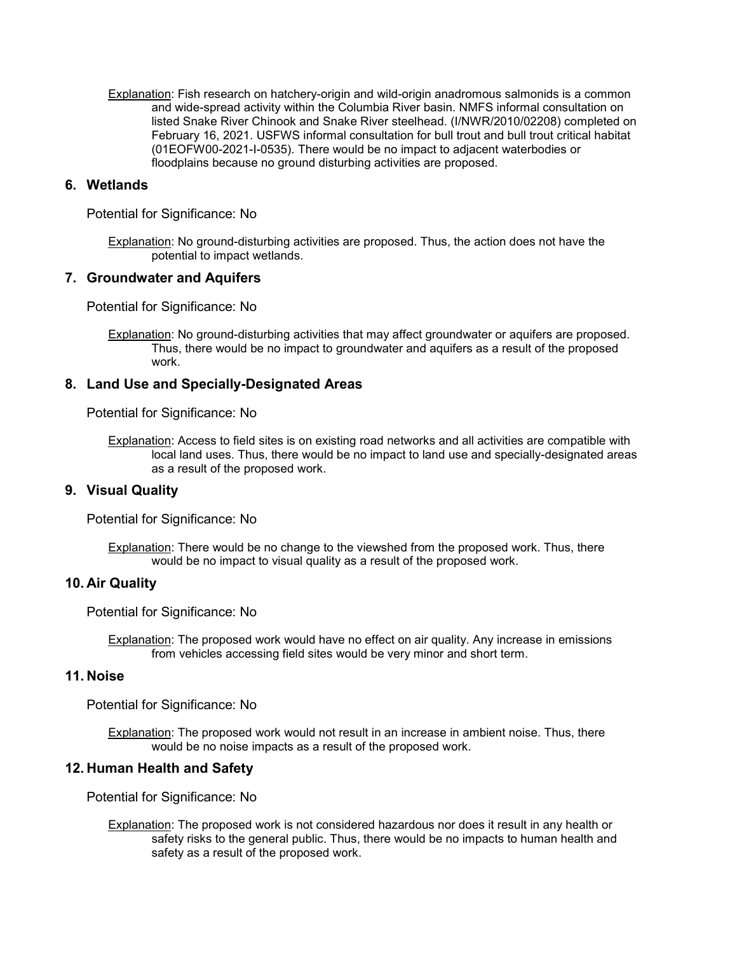Explanation: Fish research on hatchery-origin and wild-origin anadromous salmonids is a common and wide-spread activity within the Columbia River basin. NMFS informal consultation on listed Snake River Chinook and Snake River steelhead. (I/NWR/2010/02208) completed on February 16, 2021. USFWS informal consultation for bull trout and bull trout critical habitat (01EOFW00-2021-I-0535). There would be no impact to adjacent waterbodies or floodplains because no ground disturbing activities are proposed.

#### **6. Wetlands**

Potential for Significance: No

Explanation: No ground-disturbing activities are proposed. Thus, the action does not have the potential to impact wetlands.

#### **7. Groundwater and Aquifers**

Potential for Significance: No

Explanation: No ground-disturbing activities that may affect groundwater or aquifers are proposed. Thus, there would be no impact to groundwater and aquifers as a result of the proposed work.

#### **8. Land Use and Specially-Designated Areas**

Potential for Significance: No

Explanation: Access to field sites is on existing road networks and all activities are compatible with local land uses. Thus, there would be no impact to land use and specially-designated areas as a result of the proposed work.

#### **9. Visual Quality**

Potential for Significance: No

Explanation: There would be no change to the viewshed from the proposed work. Thus, there would be no impact to visual quality as a result of the proposed work.

#### **10. Air Quality**

Potential for Significance: No

Explanation: The proposed work would have no effect on air quality. Any increase in emissions from vehicles accessing field sites would be very minor and short term.

#### **11. Noise**

Potential for Significance: No

Explanation: The proposed work would not result in an increase in ambient noise. Thus, there would be no noise impacts as a result of the proposed work.

#### **12. Human Health and Safety**

Potential for Significance: No

Explanation: The proposed work is not considered hazardous nor does it result in any health or safety risks to the general public. Thus, there would be no impacts to human health and safety as a result of the proposed work.